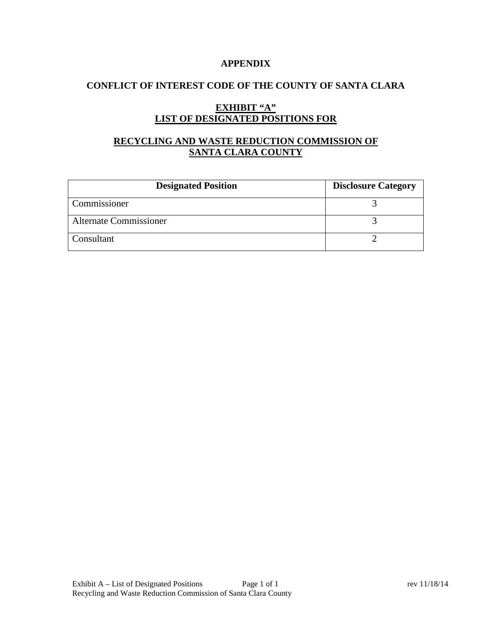### **APPENDIX**

## **CONFLICT OF INTEREST CODE OF THE COUNTY OF SANTA CLARA**

# **EXHIBIT "A" LIST OF DESIGNATED POSITIONS FOR**

# **RECYCLING AND WASTE REDUCTION COMMISSION OF SANTA CLARA COUNTY**

| <b>Designated Position</b>    | <b>Disclosure Category</b> |
|-------------------------------|----------------------------|
| Commissioner                  |                            |
| <b>Alternate Commissioner</b> |                            |
| Consultant                    |                            |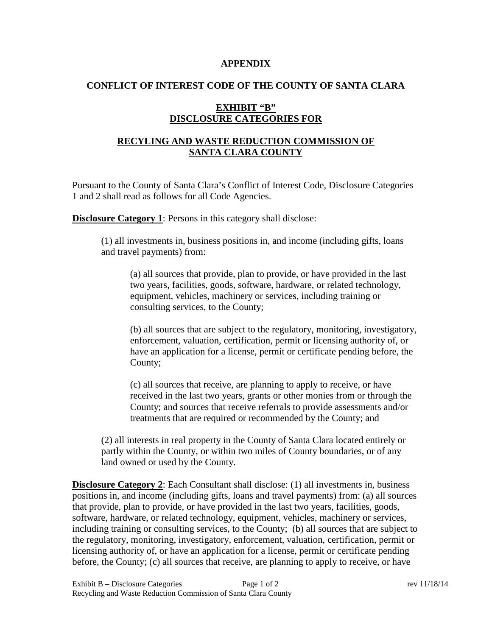#### **APPENDIX**

#### **CONFLICT OF INTEREST CODE OF THE COUNTY OF SANTA CLARA**

### **EXHIBIT "B" DISCLOSURE CATEGORIES FOR**

## **RECYLING AND WASTE REDUCTION COMMISSION OF SANTA CLARA COUNTY**

Pursuant to the County of Santa Clara's Conflict of Interest Code, Disclosure Categories 1 and 2 shall read as follows for all Code Agencies.

**Disclosure Category 1**: Persons in this category shall disclose:

(1) all investments in, business positions in, and income (including gifts, loans and travel payments) from:

(a) all sources that provide, plan to provide, or have provided in the last two years, facilities, goods, software, hardware, or related technology, equipment, vehicles, machinery or services, including training or consulting services, to the County;

(b) all sources that are subject to the regulatory, monitoring, investigatory, enforcement, valuation, certification, permit or licensing authority of, or have an application for a license, permit or certificate pending before, the County;

(c) all sources that receive, are planning to apply to receive, or have received in the last two years, grants or other monies from or through the County; and sources that receive referrals to provide assessments and/or treatments that are required or recommended by the County; and

(2) all interests in real property in the County of Santa Clara located entirely or partly within the County, or within two miles of County boundaries, or of any land owned or used by the County.

**Disclosure Category 2**: Each Consultant shall disclose: (1) all investments in, business positions in, and income (including gifts, loans and travel payments) from: (a) all sources that provide, plan to provide, or have provided in the last two years, facilities, goods, software, hardware, or related technology, equipment, vehicles, machinery or services, including training or consulting services, to the County; (b) all sources that are subject to the regulatory, monitoring, investigatory, enforcement, valuation, certification, permit or licensing authority of, or have an application for a license, permit or certificate pending before, the County; (c) all sources that receive, are planning to apply to receive, or have